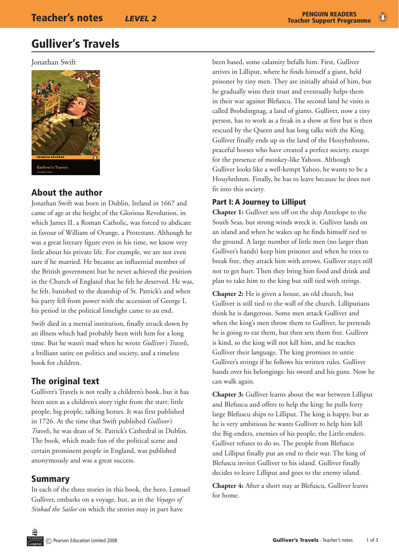# Gulliver's Travels

Jonathan Swift



# About the author

Jonathan Swift was born in Dublin, Ireland in 1667 and came of age at the height of the Glorious Revolution, in which James II, a Roman Catholic, was forced to abdicate in favour of William of Orange, a Protestant. Although he was a great literary figure even in his time, we know very little about his private life. For example, we are not even sure if he married. He became an influential member of the British government but he never achieved the position in the Church of England that he felt he deserved. He was, he felt, banished to the deanship of St. Patrick's and when his party fell from power with the accession of George I, his period in the political limelight came to an end.

Swift died in a mental institution, finally struck down by an illness which had probably been with him for a long time. But he wasn't mad when he wrote *Gulliver's Travels*, a brilliant satire on politics and society, and a timeless book for children.

# The original text

Gulliver's Travels is not really a children's book, but it has been seen as a children's story right from the start: little people, big people, talking horses. It was first published in 1726. At the time that Swift published *Gulliver's Travels*, he was dean of St. Patrick's Cathedral in Dublin. The book, which made fun of the political scene and certain prominent people in England, was published anonymously and was a great success.

## Summary

In each of the three stories in this book, the hero, Lemuel Gulliver, embarks on a voyage, but, as in the *Voyages of Sinbad the Sailor* on which the stories may in part have

been based, some calamity befalls him. First, Gulliver arrives in Lilliput, where he finds himself a giant, held prisoner by tiny men. They are initially afraid of him, but he gradually wins their trust and eventually helps them in their war against Blefuscu. The second land he visits is called Brobdingnag, a land of giants. Gulliver, now a tiny person, has to work as a freak in a show at first but is then rescued by the Queen and has long talks with the King. Gulliver finally ends up in the land of the Houyhnhnms, peaceful horses who have created a perfect society, except for the presence of monkey-like Yahoos. Although Gulliver looks like a well-kempt Yahoo, he wants to be a Houyhnhnm. Finally, he has to leave because he does not fit into this society.

### Part I: A Journey to Lilliput

**Chapter 1:** Gulliver sets off on the ship Antelope to the South Seas, but strong winds wreck it. Gulliver lands on an island and when he wakes up he finds himself tied to the ground. A large number of little men (no larger than Gulliver's hands) keep him prisoner and when he tries to break free, they attack him with arrows. Gulliver stays still not to get hurt. Then they bring him food and drink and plan to take him to the king but still tied with strings.

**Chapter 2:** He is given a house, an old church, but Gulliver is still tied to the wall of the church. Lilliputians think he is dangerous. Some men attack Gulliver and when the king's men throw them to Gulliver, he pretends he is going to eat them, but then sets them free. Gulliver is kind, so the king will not kill him, and he teaches Gulliver their language. The king promises to untie Gulliver's strings if he follows his written rules. Gulliver hands over his belongings: his sword and his guns. Now he can walk again.

**Chapter 3:** Gulliver learns about the war between Lilliput and Blefuscu and offers to help the king: he pulls forty large Blefuscu ships to Lilliput. The king is happy, but as he is very ambitious he wants Gulliver to help him kill the Big-enders, enemies of his people, the Little-enders. Gulliver refuses to do so. The people from Blefuscu and Lilliput finally put an end to their war. The king of Blefuscu invites Gulliver to his island. Gulliver finally decides to leave Lilliput and goes to the enemy island.

**Chapter 4:** After a short stay at Blefuscu, Gulliver leaves for home.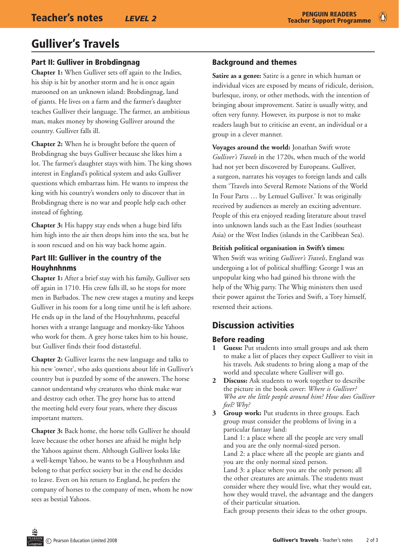$\bullet$ 

# Gulliver's Travels

## Part II: Gulliver in Brobdingnag

**Chapter 1:** When Gulliver sets off again to the Indies, his ship is hit by another storm and he is once again marooned on an unknown island: Brobdingnag, land of giants. He lives on a farm and the farmer's daughter teaches Gulliver their language. The farmer, an ambitious man, makes money by showing Gulliver around the country. Gulliver falls ill.

**Chapter 2:** When he is brought before the queen of Brobdingnag she buys Gulliver because she likes him a lot. The farmer's daughter stays with him. The king shows interest in England's political system and asks Gulliver questions which embarrass him. He wants to impress the king with his country's wonders only to discover that in Brobdingnag there is no war and people help each other instead of fighting.

**Chapter 3:** His happy stay ends when a huge bird lifts him high into the air then drops him into the sea, but he is soon rescued and on his way back home again.

### Part III: Gulliver in the country of the Houyhnhnms

**Chapter 1:** After a brief stay with his family, Gulliver sets off again in 1710. His crew falls ill, so he stops for more men in Barbados. The new crew stages a mutiny and keeps Gulliver in his room for a long time until he is left ashore. He ends up in the land of the Houyhnhnms, peaceful horses with a strange language and monkey-like Yahoos who work for them. A grey horse takes him to his house, but Gulliver finds their food distasteful.

**Chapter 2:** Gulliver learns the new language and talks to his new 'owner', who asks questions about life in Gulliver's country but is puzzled by some of the answers. The horse cannot understand why creatures who think make war and destroy each other. The grey horse has to attend the meeting held every four years, where they discuss important matters.

**Chapter 3:** Back home, the horse tells Gulliver he should leave because the other horses are afraid he might help the Yahoos against them. Although Gulliver looks like a well-kempt Yahoo, he wants to be a Houyhnhnm and belong to that perfect society but in the end he decides to leave. Even on his return to England, he prefers the company of horses to the company of men, whom he now sees as bestial Yahoos.

# Background and themes

**Satire as a genre:** Satire is a genre in which human or individual vices are exposed by means of ridicule, derision, burlesque, irony, or other methods, with the intention of bringing about improvement. Satire is usually witty, and often very funny. However, its purpose is not to make readers laugh but to criticise an event, an individual or a group in a clever manner.

**Voyages around the world:** Jonathan Swift wrote *Gulliver's Travels* in the 1720s, when much of the world had not yet been discovered by Europeans. Gulliver, a surgeon, narrates his voyages to foreign lands and calls them 'Travels into Several Remote Nations of the World In Four Parts … by Lemuel Gulliver.' It was originally received by audiences as merely an exciting adventure. People of this era enjoyed reading literature about travel into unknown lands such as the East Indies (southeast Asia) or the West Indies (islands in the Caribbean Sea).

### **British political organisation in Swift's times:**

When Swift was writing *Gulliver's Travels*, England was undergoing a lot of political shuffling: George I was an unpopular king who had gained his throne with the help of the Whig party. The Whig ministers then used their power against the Tories and Swift, a Tory himself, resented their actions.

# Discussion activities

## Before reading

- **1 Guess:** Put students into small groups and ask them to make a list of places they expect Gulliver to visit in his travels. Ask students to bring along a map of the world and speculate where Gulliver will go.
- **2 Discuss:** Ask students to work together to describe the picture in the book cover: *Where is Gulliver? Who are the little people around him? How does Gulliver feel? Why?*

**3 Group work:** Put students in three groups. Each group must consider the problems of living in a particular fantasy land: Land 1: a place where all the people are very small and you are the only normal-sized person. Land 2: a place where all the people are giants and you are the only normal sized person. Land 3: a place where you are the only person; all the other creatures are animals. The students must consider where they would live, what they would eat, how they would travel, the advantage and the dangers of their particular situation. Each group presents their ideas to the other groups.